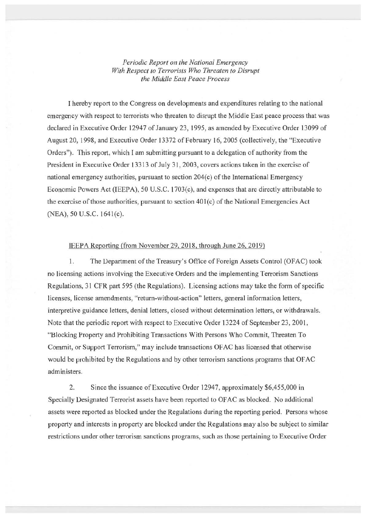*Periodic Report on the National Emergency With Respect to Terrorists Who Threaten to Disrupt the Middle East Peace Process* 

I hereby report to the Congress on developments and expenditures relating to the national emergency with respect to terrorists who threaten to disrupt the Middle East peace process that was declared in Executive Order 12947 of January 23, 1995, as amended by Executive Order 13099 of August 20, 1998, and Executive Order 13372 of February 16, 2005 (collectively, the "Executive Orders"). This report, which I am submitting pursuant to a delegation of authority from the President in Executive Order 13313 of July 31, 2003, covers actions taken in the exercise of national emergency authorities, pursuant to section 204(c) of the International Emergency Economic Powers Act (IEEPA), 50 U.S.C. 1703(c), and expenses that are directly attributable to the exercise of those authorities, pursuant to section  $401(c)$  of the National Emergencies Act (NEA), 50 U.S.C. I641(c).

## IEEPA Reporting (from November 29, 2018, through June 26, 2019)

1. The Department of the Treasury's Office of Foreign Assets Control (OFAC) took no licensing actions involving the Executive Orders and the implementing Terrorism Sanctions Regulations, 31 CFR part 595 (the Regulations). Licensing actions may take the form of specific licenses, license amendments, "return-without-action" letters, general information letters, interpretive guidance letters, denial letters, closed without determination letters, or withdrawals. Note that the periodic report with respect to Executive Order 13224 of September 23, 200 I, "Blocking Property and Prohibiting Transactions With Persons Who Commit, Threaten To Commit, or Support Terrorism," may include transactions OFAC has licensed that otherwise would be prohibited by the Regulations and by other terrorism sanctions programs that OFAC administers.

2. Since the issuance of Executive Order 12947, approximately \$6,455,000 in Specially Designated Terrorist assets have been reported to OF AC as blocked. No additional assets were reported as blocked under the Regulations during the reporting period. Persons whose property and interests in property are blocked under the Regulations may also be subject to similar restrictions under other terrorism sanctions programs, such as those pertaining to Executive Order